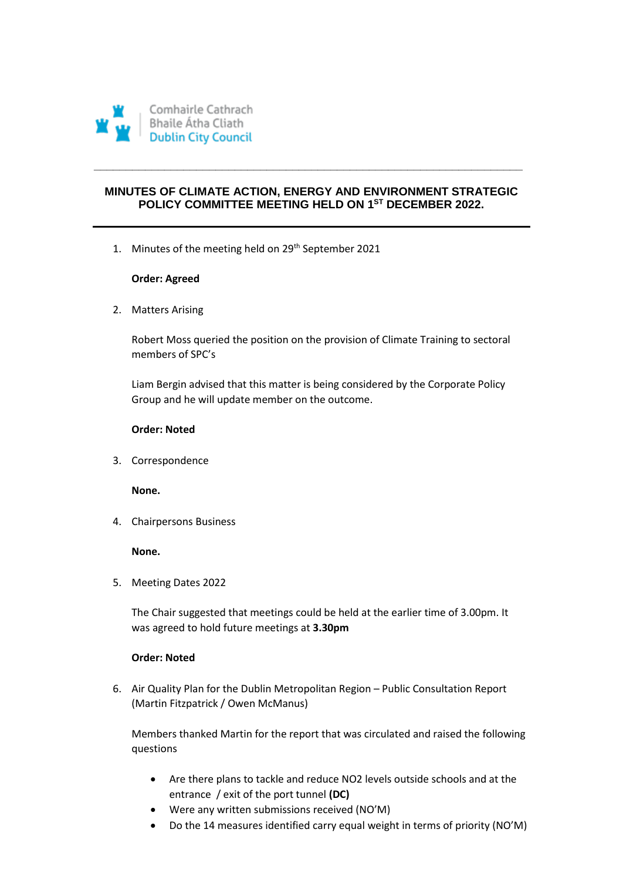

# **MINUTES OF CLIMATE ACTION, ENERGY AND ENVIRONMENT STRATEGIC POLICY COMMITTEE MEETING HELD ON 1 ST DECEMBER 2022.**

**\_\_\_\_\_\_\_\_\_\_\_\_\_\_\_\_\_\_\_\_\_\_\_\_\_\_\_\_\_\_\_\_\_\_\_\_\_\_\_\_\_\_\_\_\_\_\_\_\_\_\_\_\_\_\_\_\_\_\_\_\_\_\_\_\_\_\_** 

1. Minutes of the meeting held on 29<sup>th</sup> September 2021

# **Order: Agreed**

2. Matters Arising

Robert Moss queried the position on the provision of Climate Training to sectoral members of SPC's

Liam Bergin advised that this matter is being considered by the Corporate Policy Group and he will update member on the outcome.

# **Order: Noted**

3. Correspondence

**None.**

4. Chairpersons Business

# **None.**

5. Meeting Dates 2022

The Chair suggested that meetings could be held at the earlier time of 3.00pm. It was agreed to hold future meetings at **3.30pm**

# **Order: Noted**

6. Air Quality Plan for the Dublin Metropolitan Region – Public Consultation Report (Martin Fitzpatrick / Owen McManus)

Members thanked Martin for the report that was circulated and raised the following questions

- Are there plans to tackle and reduce NO2 levels outside schools and at the entrance / exit of the port tunnel **(DC)**
- Were any written submissions received (NO'M)
- Do the 14 measures identified carry equal weight in terms of priority (NO'M)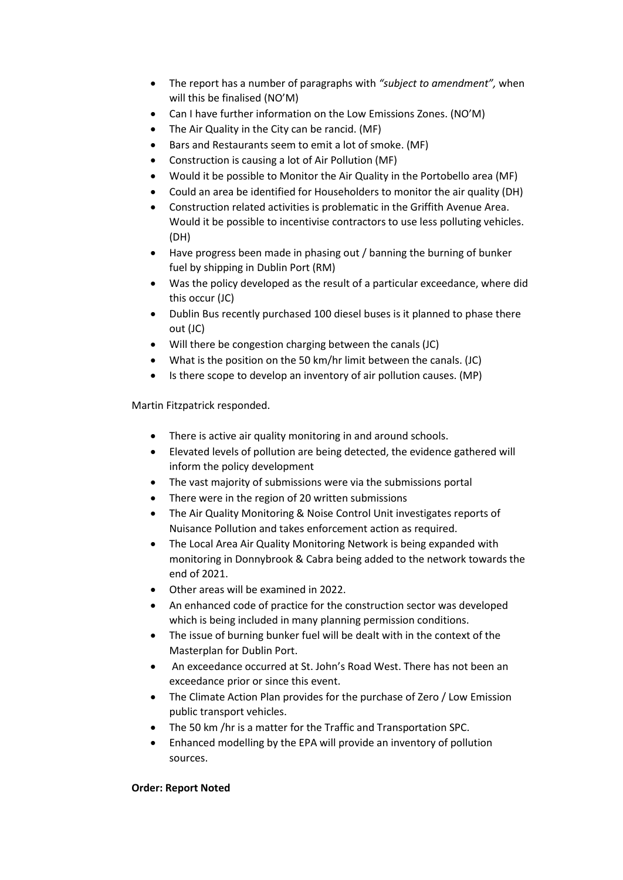- The report has a number of paragraphs with *"subject to amendment",* when will this be finalised (NO'M)
- Can I have further information on the Low Emissions Zones. (NO'M)
- The Air Quality in the City can be rancid. (MF)
- Bars and Restaurants seem to emit a lot of smoke. (MF)
- Construction is causing a lot of Air Pollution (MF)
- Would it be possible to Monitor the Air Quality in the Portobello area (MF)
- Could an area be identified for Householders to monitor the air quality (DH)
- Construction related activities is problematic in the Griffith Avenue Area. Would it be possible to incentivise contractors to use less polluting vehicles. (DH)
- Have progress been made in phasing out / banning the burning of bunker fuel by shipping in Dublin Port (RM)
- Was the policy developed as the result of a particular exceedance, where did this occur (JC)
- Dublin Bus recently purchased 100 diesel buses is it planned to phase there out (JC)
- Will there be congestion charging between the canals (JC)
- What is the position on the 50 km/hr limit between the canals. (JC)
- Is there scope to develop an inventory of air pollution causes. (MP)

Martin Fitzpatrick responded.

- There is active air quality monitoring in and around schools.
- Elevated levels of pollution are being detected, the evidence gathered will inform the policy development
- The vast majority of submissions were via the submissions portal
- There were in the region of 20 written submissions
- The Air Quality Monitoring & Noise Control Unit investigates reports of Nuisance Pollution and takes enforcement action as required.
- The Local Area Air Quality Monitoring Network is being expanded with monitoring in Donnybrook & Cabra being added to the network towards the end of 2021.
- Other areas will be examined in 2022.
- An enhanced code of practice for the construction sector was developed which is being included in many planning permission conditions.
- The issue of burning bunker fuel will be dealt with in the context of the Masterplan for Dublin Port.
- An exceedance occurred at St. John's Road West. There has not been an exceedance prior or since this event.
- The Climate Action Plan provides for the purchase of Zero / Low Emission public transport vehicles.
- The 50 km /hr is a matter for the Traffic and Transportation SPC.
- Enhanced modelling by the EPA will provide an inventory of pollution sources.

# **Order: Report Noted**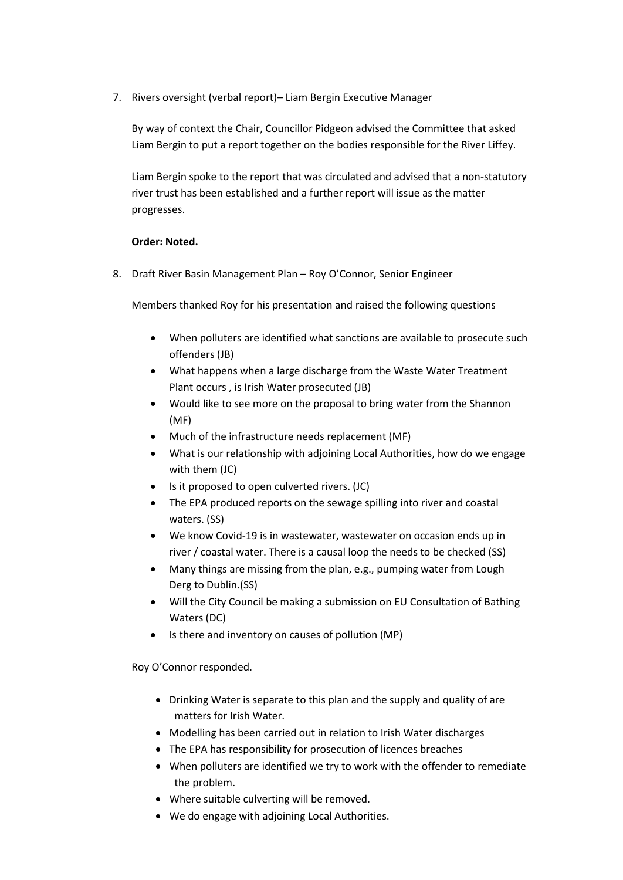7. Rivers oversight (verbal report)– Liam Bergin Executive Manager

By way of context the Chair, Councillor Pidgeon advised the Committee that asked Liam Bergin to put a report together on the bodies responsible for the River Liffey.

Liam Bergin spoke to the report that was circulated and advised that a non-statutory river trust has been established and a further report will issue as the matter progresses.

# **Order: Noted.**

8. Draft River Basin Management Plan – Roy O'Connor, Senior Engineer

Members thanked Roy for his presentation and raised the following questions

- When polluters are identified what sanctions are available to prosecute such offenders (JB)
- What happens when a large discharge from the Waste Water Treatment Plant occurs , is Irish Water prosecuted (JB)
- Would like to see more on the proposal to bring water from the Shannon (MF)
- Much of the infrastructure needs replacement (MF)
- What is our relationship with adjoining Local Authorities, how do we engage with them (JC)
- Is it proposed to open culverted rivers. (JC)
- The EPA produced reports on the sewage spilling into river and coastal waters. (SS)
- We know Covid-19 is in wastewater, wastewater on occasion ends up in river / coastal water. There is a causal loop the needs to be checked (SS)
- Many things are missing from the plan, e.g., pumping water from Lough Derg to Dublin.(SS)
- Will the City Council be making a submission on EU Consultation of Bathing Waters (DC)
- Is there and inventory on causes of pollution (MP)

Roy O'Connor responded.

- Drinking Water is separate to this plan and the supply and quality of are matters for Irish Water.
- Modelling has been carried out in relation to Irish Water discharges
- The EPA has responsibility for prosecution of licences breaches
- When polluters are identified we try to work with the offender to remediate the problem.
- Where suitable culverting will be removed.
- We do engage with adjoining Local Authorities.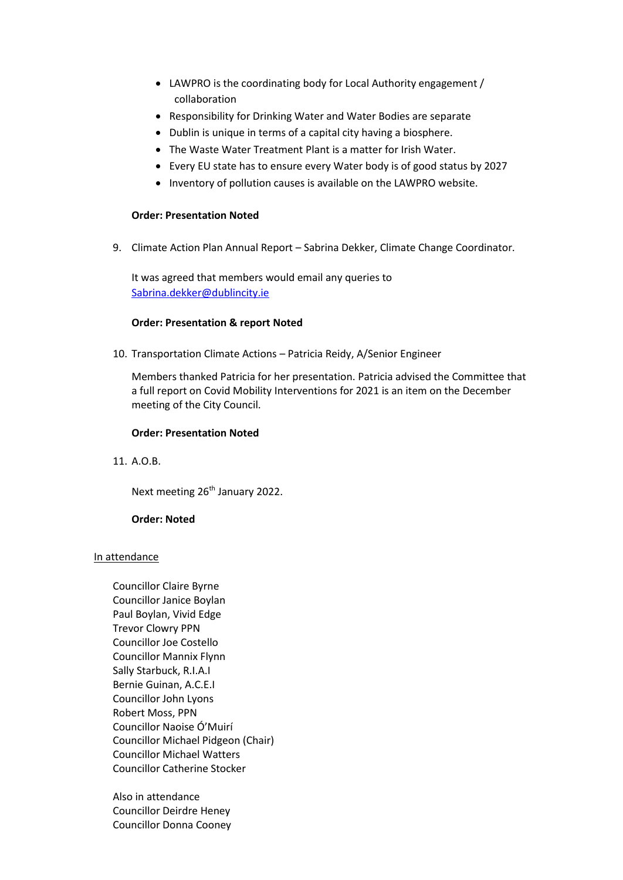- LAWPRO is the coordinating body for Local Authority engagement / collaboration
- Responsibility for Drinking Water and Water Bodies are separate
- Dublin is unique in terms of a capital city having a biosphere.
- The Waste Water Treatment Plant is a matter for Irish Water.
- Every EU state has to ensure every Water body is of good status by 2027
- Inventory of pollution causes is available on the LAWPRO website.

# **Order: Presentation Noted**

9. Climate Action Plan Annual Report – Sabrina Dekker, Climate Change Coordinator.

It was agreed that members would email any queries to [Sabrina.dekker@dublincity.ie](mailto:Sabrina.dekker@dublincity.ie)

#### **Order: Presentation & report Noted**

10. Transportation Climate Actions – Patricia Reidy, A/Senior Engineer

Members thanked Patricia for her presentation. Patricia advised the Committee that a full report on Covid Mobility Interventions for 2021 is an item on the December meeting of the City Council.

#### **Order: Presentation Noted**

11. A.O.B.

Next meeting 26<sup>th</sup> January 2022.

# **Order: Noted**

#### In attendance

Councillor Claire Byrne Councillor Janice Boylan Paul Boylan, Vivid Edge Trevor Clowry PPN Councillor Joe Costello Councillor Mannix Flynn Sally Starbuck, R.I.A.I Bernie Guinan, A.C.E.I Councillor John Lyons Robert Moss, PPN Councillor Naoise Ó'Muirí Councillor Michael Pidgeon (Chair) Councillor Michael Watters Councillor Catherine Stocker

Also in attendance Councillor Deirdre Heney Councillor Donna Cooney